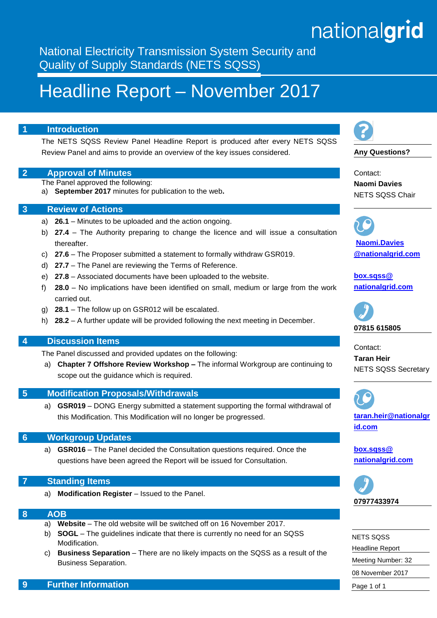# nationalgrid

National Electricity Transmission System Security and Quality of Supply Standards (NETS SQSS)

# Headline Report – November 2017

# **1 Introduction**

The NETS SQSS Review Panel Headline Report is produced after every NETS SQSS Review Panel and aims to provide an overview of the key issues considered.

### **2 Approval of Minutes**

The Panel approved the following:

a) **September 2017** minutes for publication to the web**.**

### **3 Review of Actions**

- a) **26.1** Minutes to be uploaded and the action ongoing.
- b) **27.4** The Authority preparing to change the licence and will issue a consultation thereafter.
- c) **27.6** The Proposer submitted a statement to formally withdraw GSR019.
- d) **27.7**  The Panel are reviewing the Terms of Reference.
- e) **27.8** Associated documents have been uploaded to the website.
- f) **28.0** No implications have been identified on small, medium or large from the work carried out.
- g) **28.1** The follow up on GSR012 will be escalated.
- h) **28.2** A further update will be provided following the next meeting in December.

# **4 Discussion Items**

The Panel discussed and provided updates on the following:

a) **Chapter 7 Offshore Review Workshop –** The informal Workgroup are continuing to scope out the guidance which is required.

#### **5 Modification Proposals/Withdrawals**

a) **GSR019** – DONG Energy submitted a statement supporting the formal withdrawal of this Modification. This Modification will no longer be progressed.

#### **6 Workgroup Updates**

a) **GSR016** – The Panel decided the Consultation questions required. Once the questions have been agreed the Report will be issued for Consultation.

### **7 Standing Items**

a) **Modification Register** – Issued to the Panel.

#### **8 AOB**

- a) **Website** The old website will be switched off on 16 November 2017.
- b) **SOGL** The guidelines indicate that there is currently no need for an SQSS Modification.
- c) **Business Separation** There are no likely impacts on the SQSS as a result of the Business Separation.



**Any Questions?**

Contact: **Naomi Davies** NETS SQSS Chair

**[Naomi.Davies](mailto:john.west@%0Bnationalgrid.com) [@nationalgrid.com](mailto:john.west@%0Bnationalgrid.com)**

**[box.sqss@](mailto:box.sqss@%20nationalgrid.com)  [nationalgrid.com](mailto:box.sqss@%20nationalgrid.com)**



Contact: **Taran Heir** NETS SQSS Secretary



**[taran.heir@nationalgr](mailto:taran.heir@nationalgrid.com) [id.com](mailto:taran.heir@nationalgrid.com)**

**[box.sqss@](mailto:box.sqss@%20nationalgrid.com)  [nationalgrid.com](mailto:box.sqss@%20nationalgrid.com)**



| <b>NETS SOSS</b>       |
|------------------------|
| <b>Headline Report</b> |
| Meeting Number: 32     |
| 08 November 2017       |
| Page 1 of 1            |